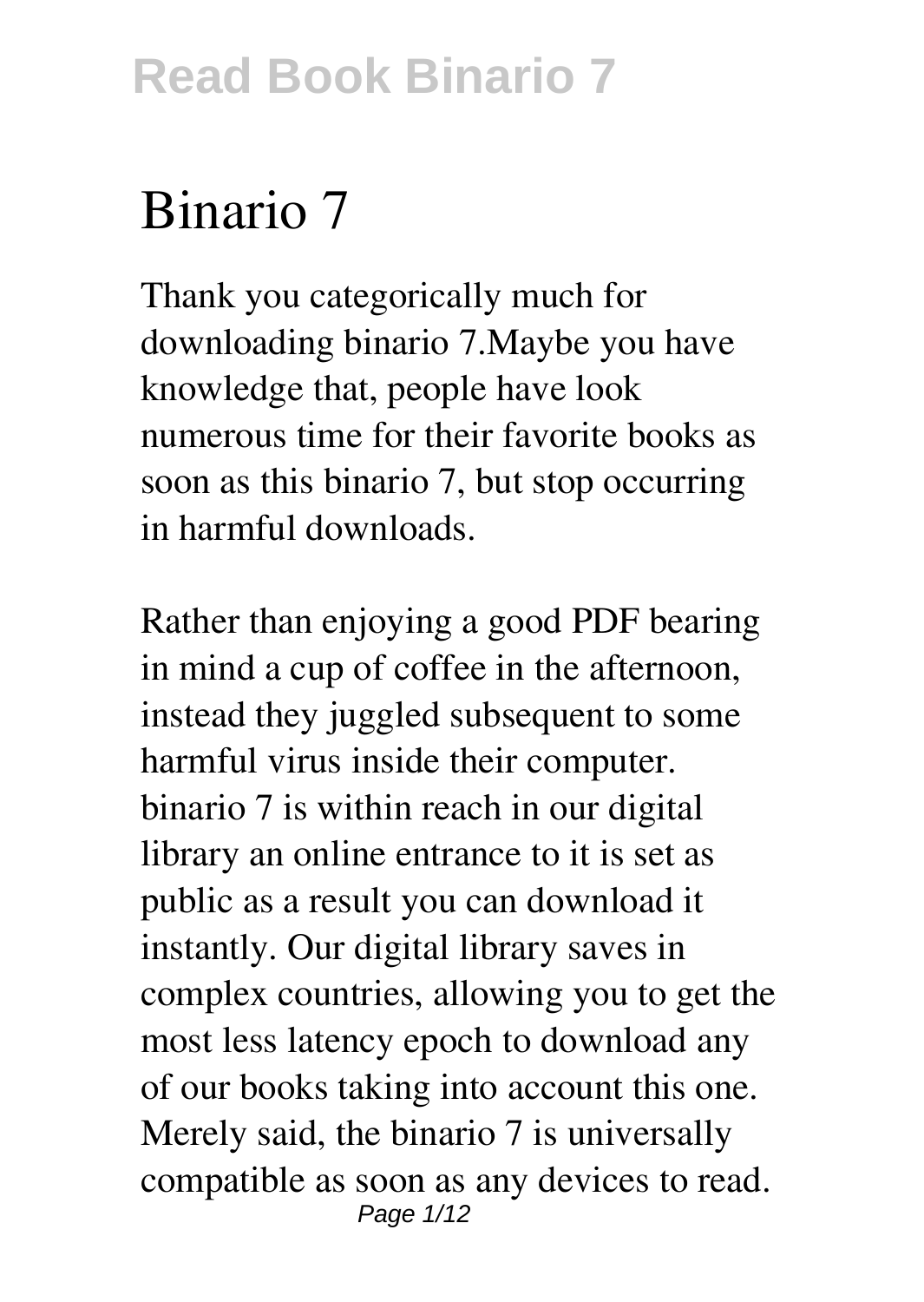# **Binario 7**

Thank you categorically much for downloading **binario 7**.Maybe you have knowledge that, people have look numerous time for their favorite books as soon as this binario 7, but stop occurring in harmful downloads.

Rather than enjoying a good PDF bearing in mind a cup of coffee in the afternoon, instead they juggled subsequent to some harmful virus inside their computer. **binario 7** is within reach in our digital library an online entrance to it is set as public as a result you can download it instantly. Our digital library saves in complex countries, allowing you to get the most less latency epoch to download any of our books taking into account this one. Merely said, the binario 7 is universally compatible as soon as any devices to read. Page 1/12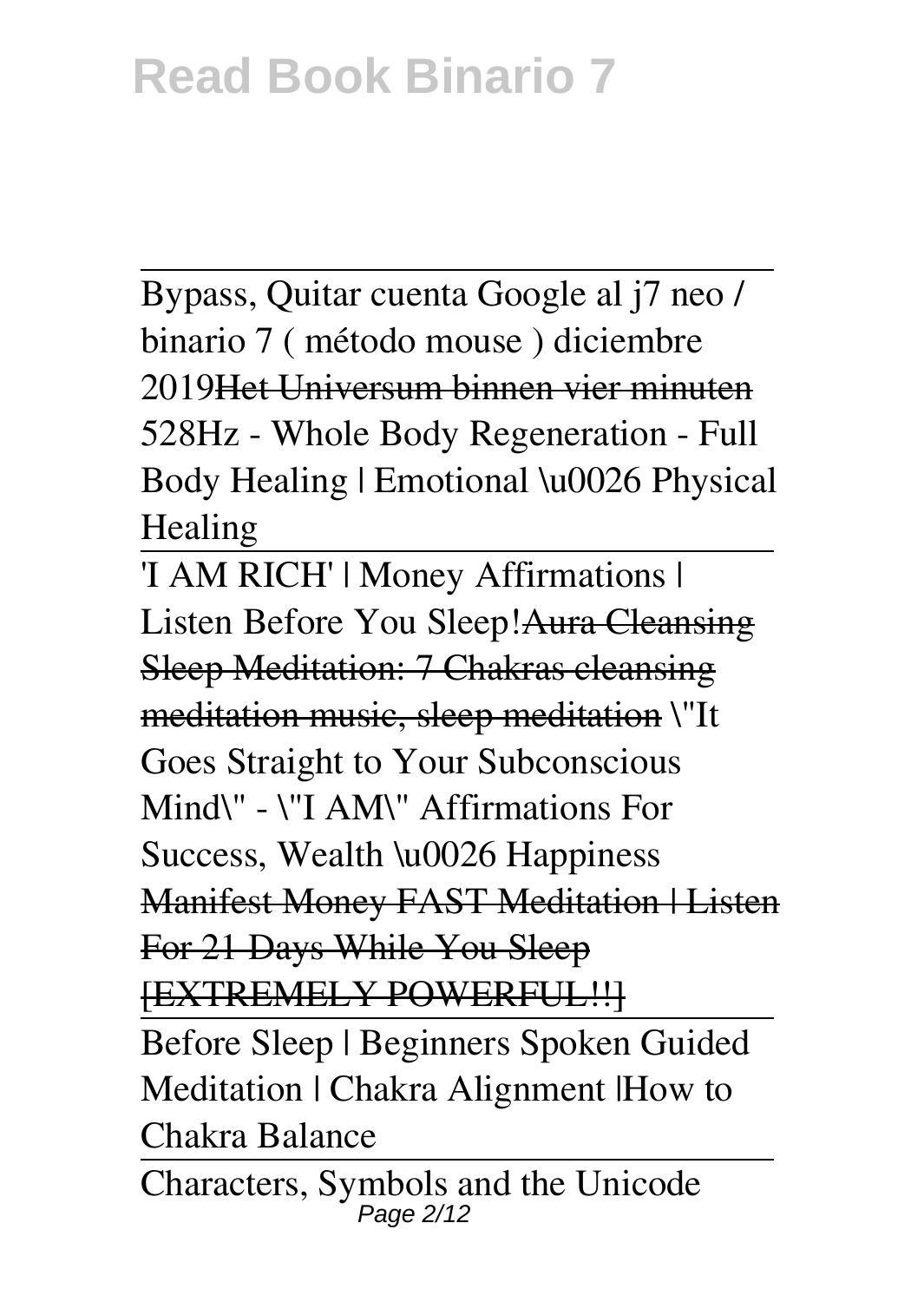Bypass, Quitar cuenta Google al j7 neo / binario 7 ( método mouse ) diciembre 2019Het Universum binnen vier minuten *528Hz - Whole Body Regeneration - Full Body Healing | Emotional \u0026 Physical Healing*

'I AM RICH' | Money Affirmations | Listen Before You Sleep!Aura Cleansing Sleep Meditation: 7 Chakras cleansing meditation music, sleep meditation **\"It Goes Straight to Your Subconscious Mind\" - \"I AM\" Affirmations For Success, Wealth \u0026 Happiness Manifest Money FAST Meditation | Listen** For 21 Days While You Sleep [EXTREMELY POWERFUL!!]

Before Sleep | Beginners Spoken Guided Meditation | Chakra Alignment |How to Chakra Balance

Characters, Symbols and the Unicode Page 2/12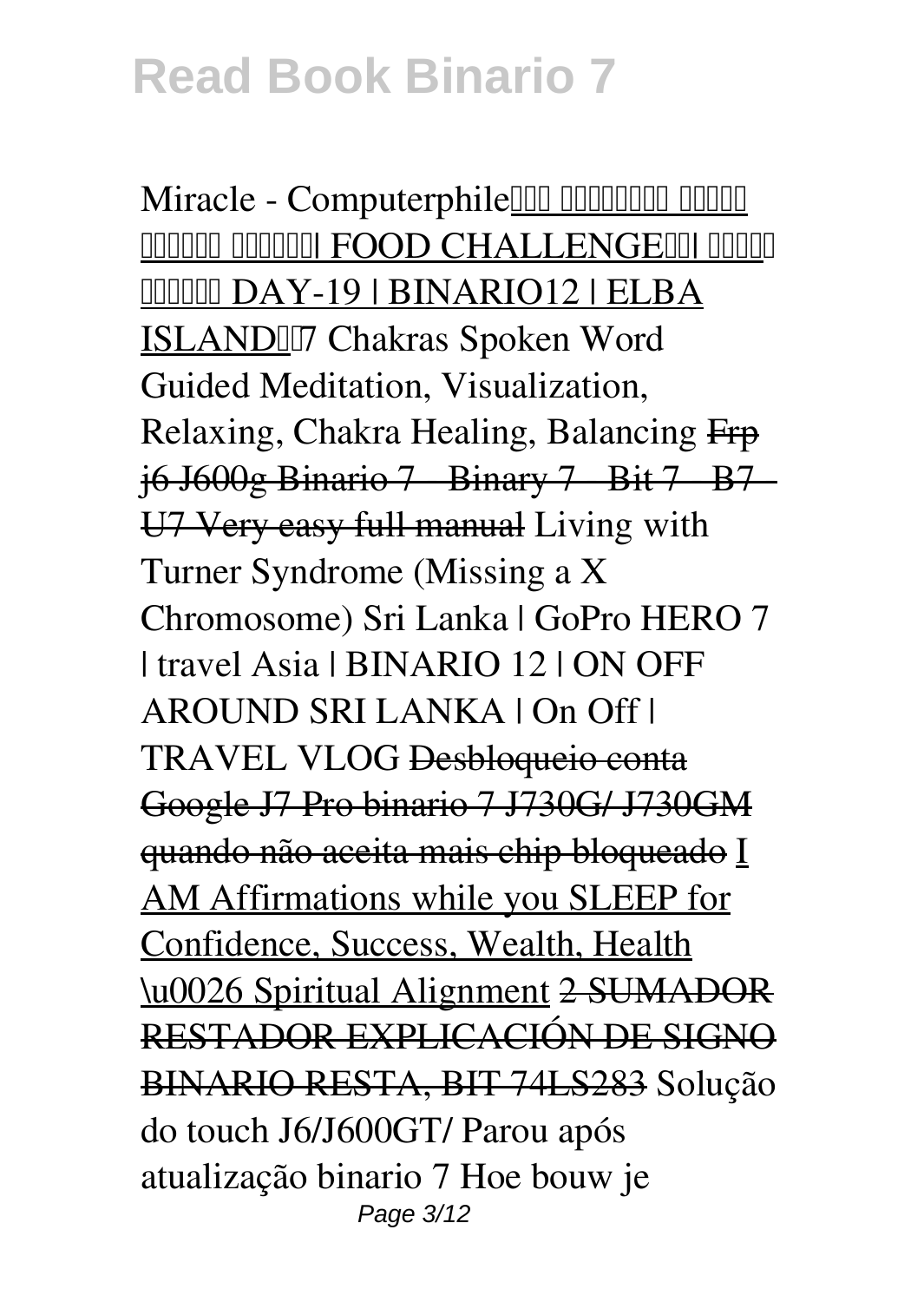Miracle - Computerphile<sup>lll</sup> alle alle and a nnnnn nnnnni FOOD CHALLENGEINI nnnn **MMMM DAY-19 | BINARIO12 | ELBA** ISLANDII7 Chakras Spoken Word Guided Meditation, Visualization, Relaxing, Chakra Healing, Balancing Frp j6 J600g Binario 7 - Binary 7 - Bit 7 - B7 - U7 Very easy full manual *Living with Turner Syndrome (Missing a X Chromosome) Sri Lanka | GoPro HERO 7 | travel Asia | BINARIO 12 | ON OFF AROUND SRI LANKA | On Off | TRAVEL VLOG* Desbloqueio conta Google J7 Pro binario 7 J730G/ J730GM quando não aceita mais chip bloqueado I AM Affirmations while you SLEEP for Confidence, Success, Wealth, Health \u0026 Spiritual Alignment 2 SUMADOR RESTADOR EXPLICACIÓN DE SIGNO BINARIO RESTA, BIT 74LS283 Solução do touch J6/J600GT/ Parou após atualização binario 7 *Hoe bouw je* Page 3/12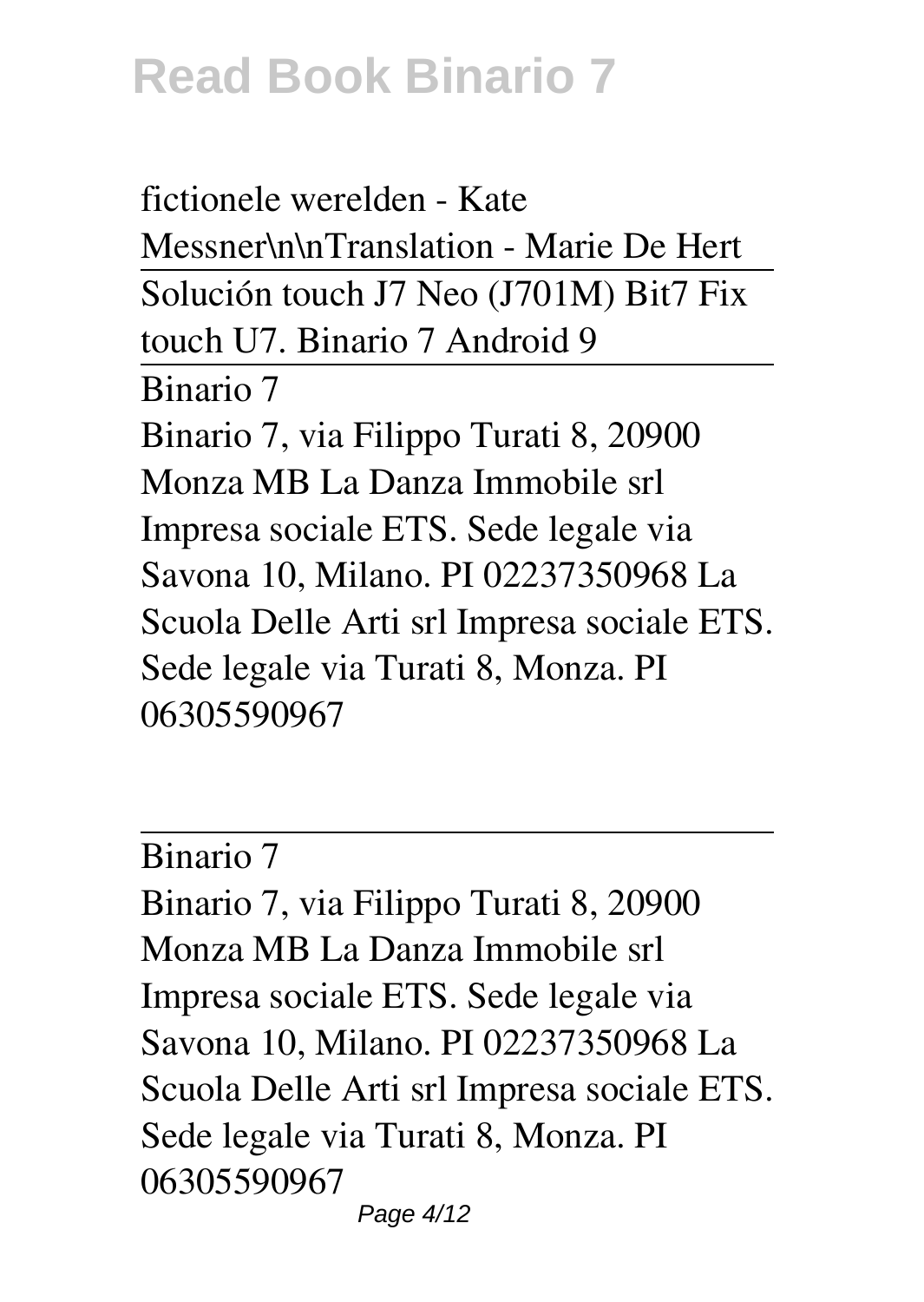*fictionele werelden - Kate Messner\n\nTranslation - Marie De Hert* Solución touch J7 Neo (J701M) Bit7 Fix touch U7. Binario 7 Android 9 Binario 7 Binario 7, via Filippo Turati 8, 20900 Monza MB La Danza Immobile srl Impresa sociale ETS. Sede legale via Savona 10, Milano. PI 02237350968 La Scuola Delle Arti srl Impresa sociale ETS. Sede legale via Turati 8, Monza. PI 06305590967

Binario 7

Binario 7, via Filippo Turati 8, 20900 Monza MB La Danza Immobile srl Impresa sociale ETS. Sede legale via Savona 10, Milano. PI 02237350968 La Scuola Delle Arti srl Impresa sociale ETS. Sede legale via Turati 8, Monza. PI 06305590967 Page 4/12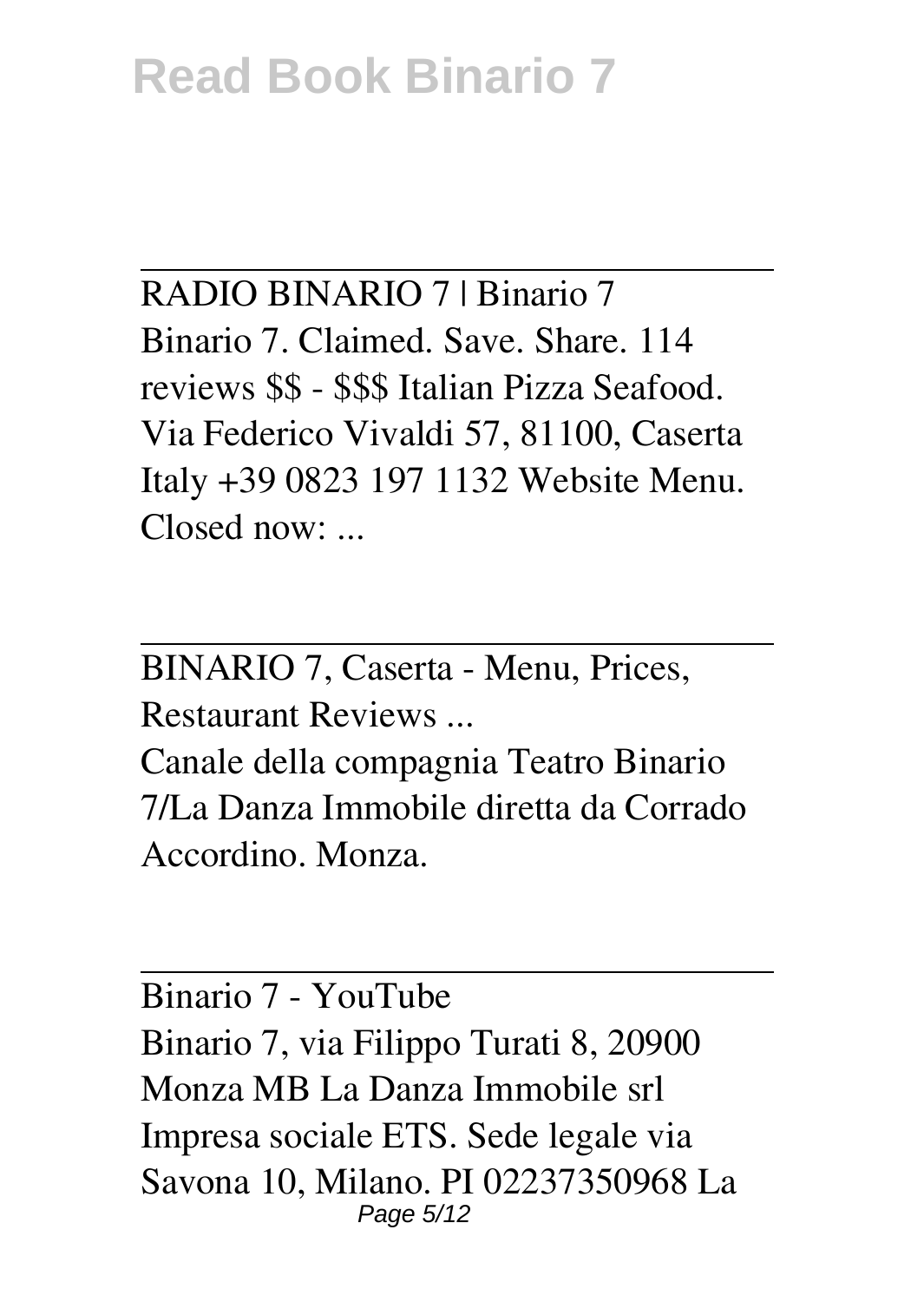RADIO BINARIO 7 | Binario 7 Binario 7. Claimed. Save. Share. 114 reviews \$\$ - \$\$\$ Italian Pizza Seafood. Via Federico Vivaldi 57, 81100, Caserta Italy +39 0823 197 1132 Website Menu. Closed now: ...

BINARIO 7, Caserta - Menu, Prices, Restaurant Reviews ...

Canale della compagnia Teatro Binario 7/La Danza Immobile diretta da Corrado Accordino. Monza.

Binario 7 - YouTube Binario 7, via Filippo Turati 8, 20900 Monza MB La Danza Immobile srl Impresa sociale ETS. Sede legale via Savona 10, Milano. PI 02237350968 La Page 5/12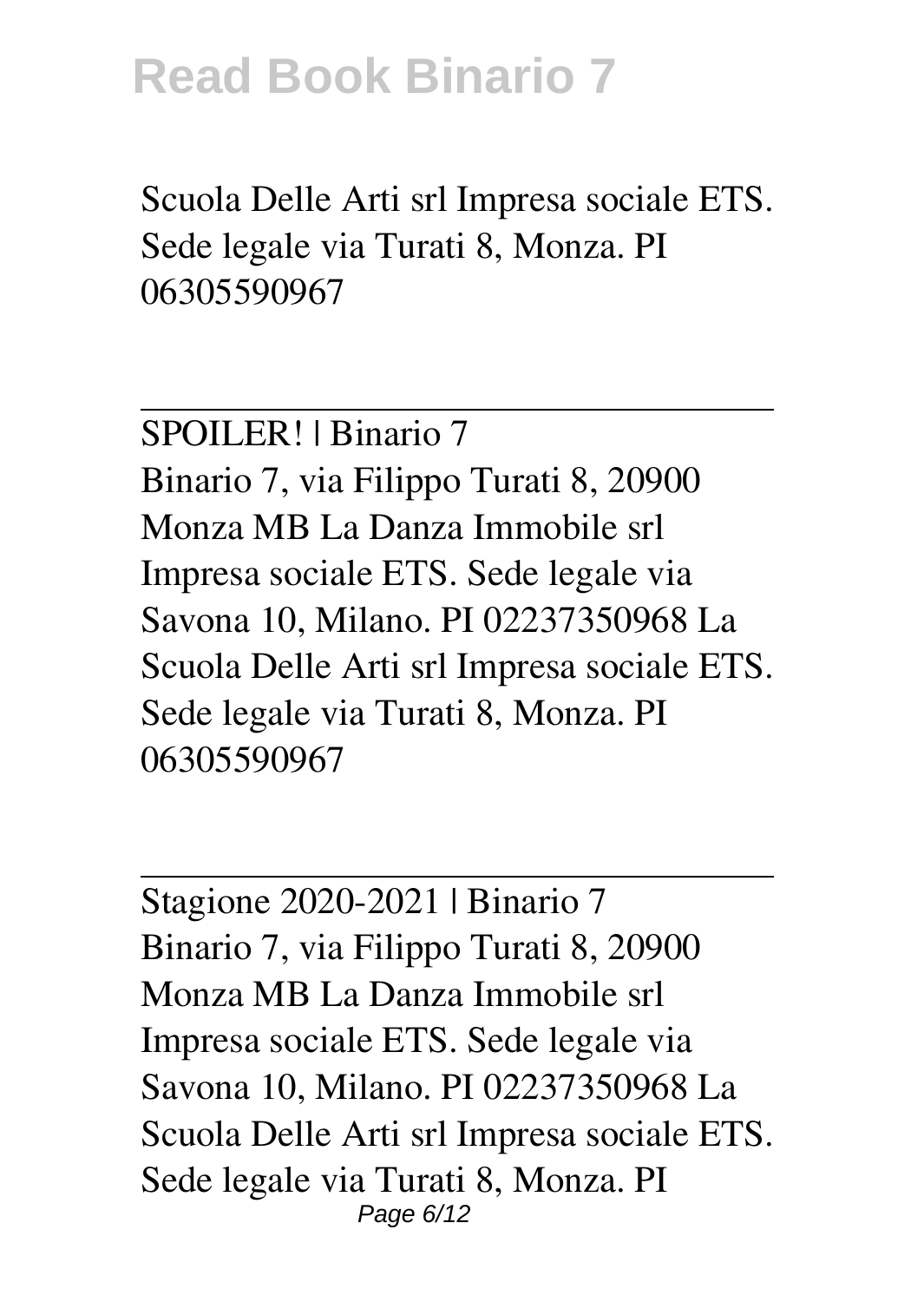Scuola Delle Arti srl Impresa sociale ETS. Sede legale via Turati 8, Monza. PI 06305590967

SPOILER! | Binario 7 Binario 7, via Filippo Turati 8, 20900 Monza MB La Danza Immobile srl Impresa sociale ETS. Sede legale via Savona 10, Milano. PI 02237350968 La Scuola Delle Arti srl Impresa sociale ETS. Sede legale via Turati 8, Monza. PI 06305590967

Stagione 2020-2021 | Binario 7 Binario 7, via Filippo Turati 8, 20900 Monza MB La Danza Immobile srl Impresa sociale ETS. Sede legale via Savona 10, Milano. PI 02237350968 La Scuola Delle Arti srl Impresa sociale ETS. Sede legale via Turati 8, Monza. PI Page 6/12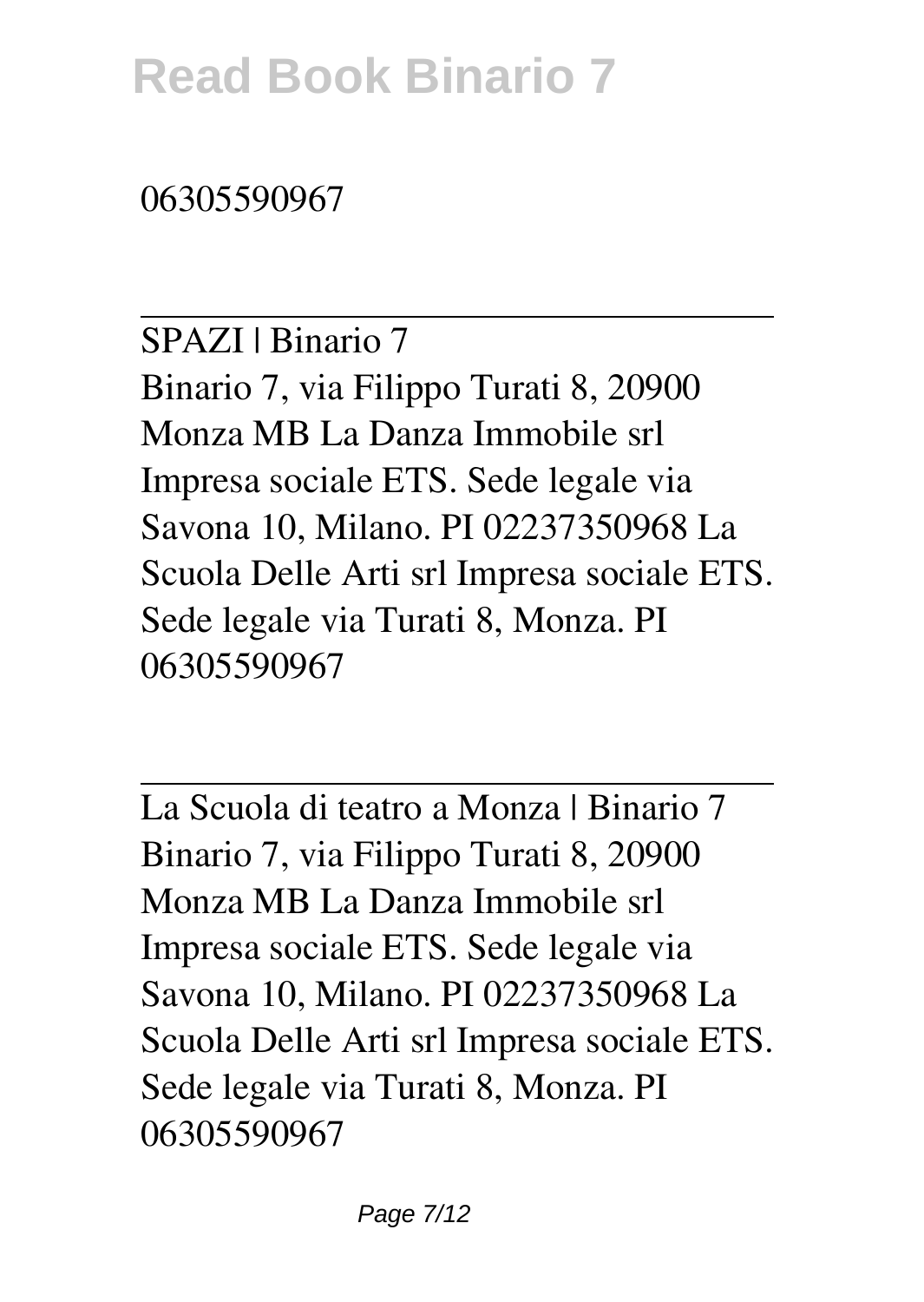06305590967

SPAZI | Binario 7 Binario 7, via Filippo Turati 8, 20900 Monza MB La Danza Immobile srl Impresa sociale ETS. Sede legale via Savona 10, Milano. PI 02237350968 La Scuola Delle Arti srl Impresa sociale ETS. Sede legale via Turati 8, Monza. PI 06305590967

La Scuola di teatro a Monza | Binario 7 Binario 7, via Filippo Turati 8, 20900 Monza MB La Danza Immobile srl Impresa sociale ETS. Sede legale via Savona 10, Milano. PI 02237350968 La Scuola Delle Arti srl Impresa sociale ETS. Sede legale via Turati 8, Monza. PI 06305590967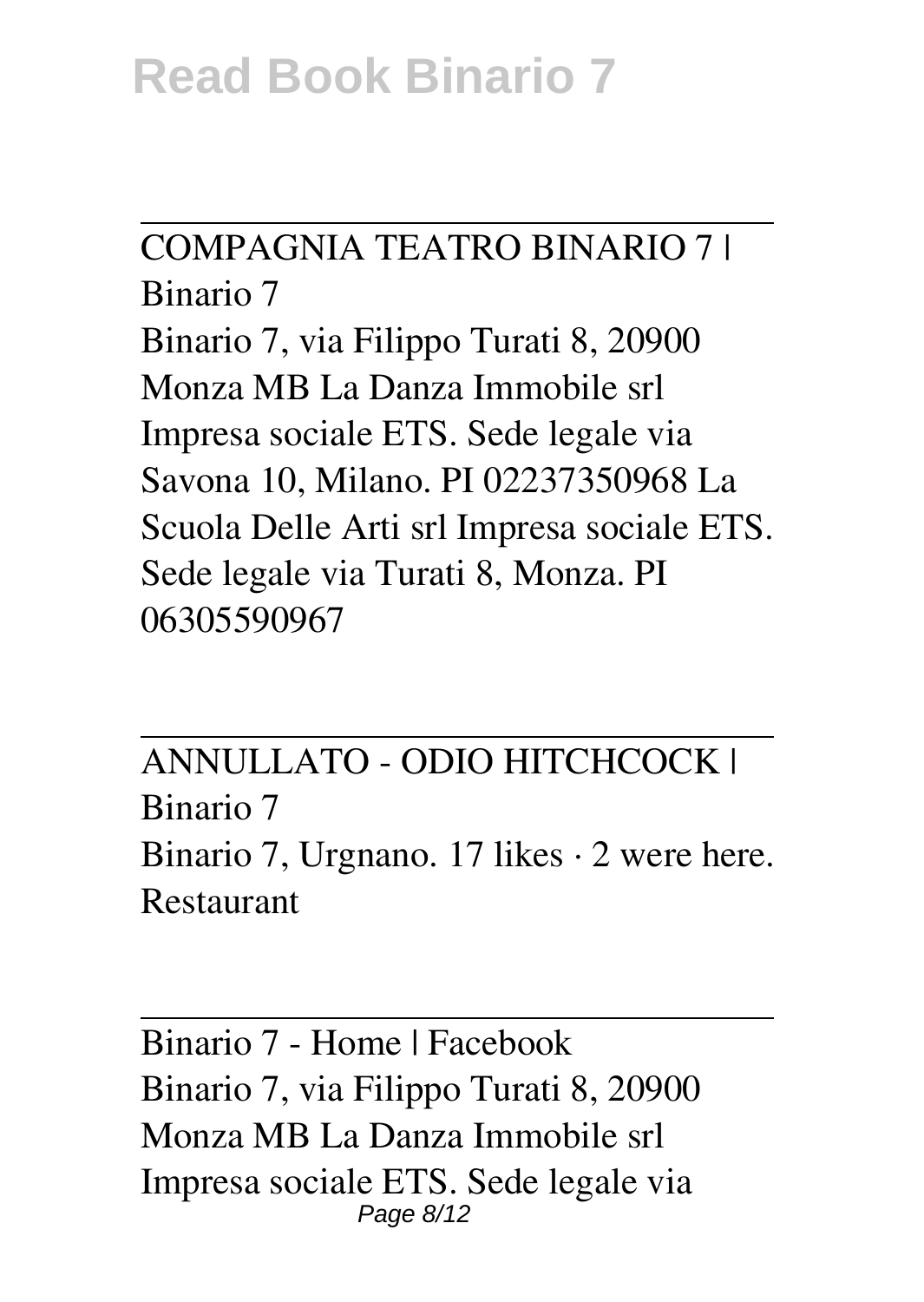COMPAGNIA TEATRO BINARIO 7 | Binario 7 Binario 7, via Filippo Turati 8, 20900 Monza MB La Danza Immobile srl Impresa sociale ETS. Sede legale via Savona 10, Milano. PI 02237350968 La Scuola Delle Arti srl Impresa sociale ETS. Sede legale via Turati 8, Monza. PI 06305590967

ANNULLATO - ODIO HITCHCOCK | Binario 7 Binario 7, Urgnano. 17 likes  $\cdot$  2 were here. Restaurant

Binario 7 - Home | Facebook Binario 7, via Filippo Turati 8, 20900 Monza MB La Danza Immobile srl Impresa sociale ETS. Sede legale via Page 8/12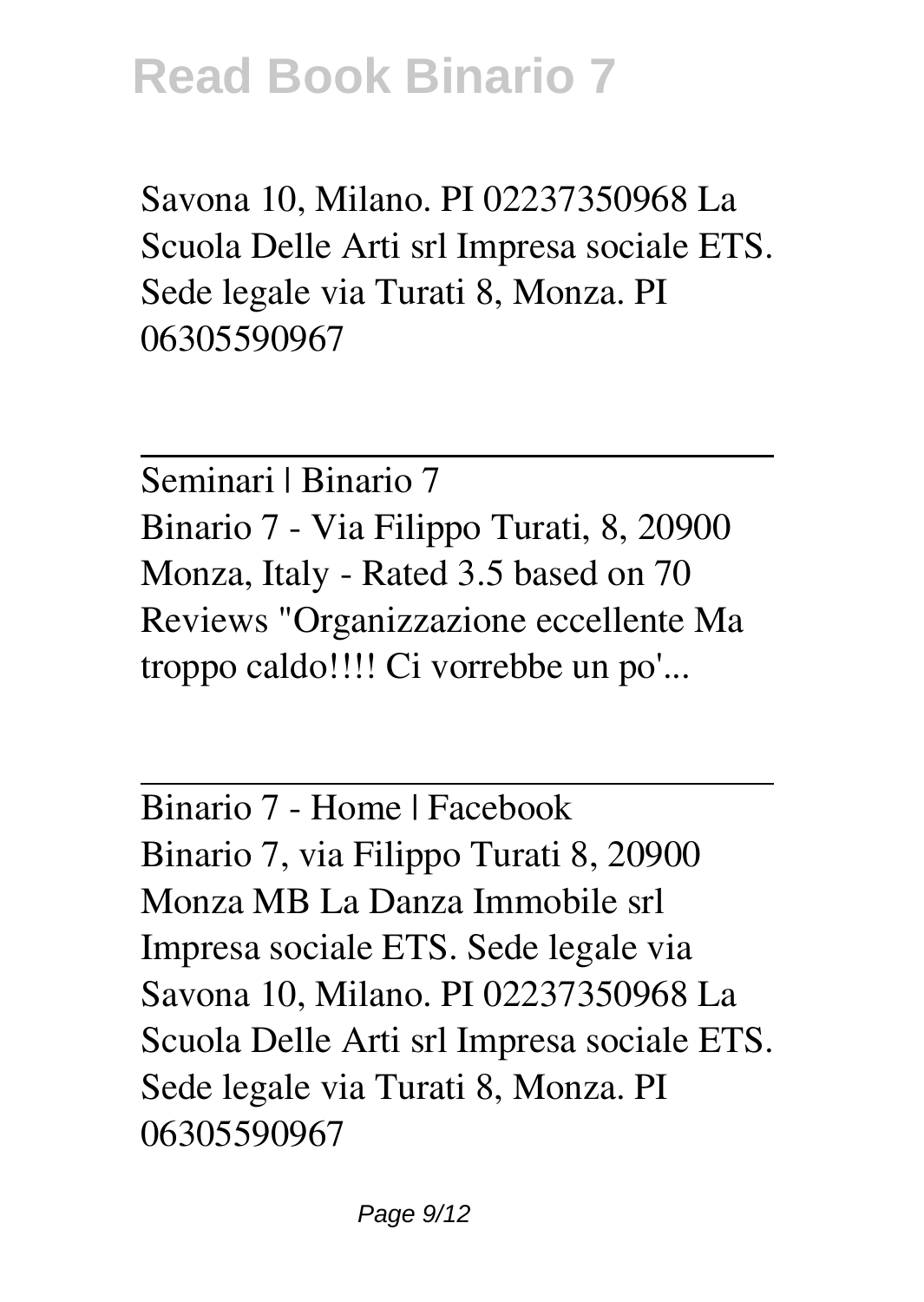Savona 10, Milano. PI 02237350968 La Scuola Delle Arti srl Impresa sociale ETS. Sede legale via Turati 8, Monza. PI 06305590967

Seminari | Binario 7 Binario 7 - Via Filippo Turati, 8, 20900 Monza, Italy - Rated 3.5 based on 70 Reviews "Organizzazione eccellente Ma troppo caldo!!!! Ci vorrebbe un po'...

Binario 7 - Home | Facebook Binario 7, via Filippo Turati 8, 20900 Monza MB La Danza Immobile srl Impresa sociale ETS. Sede legale via Savona 10, Milano. PI 02237350968 La Scuola Delle Arti srl Impresa sociale ETS. Sede legale via Turati 8, Monza. PI 06305590967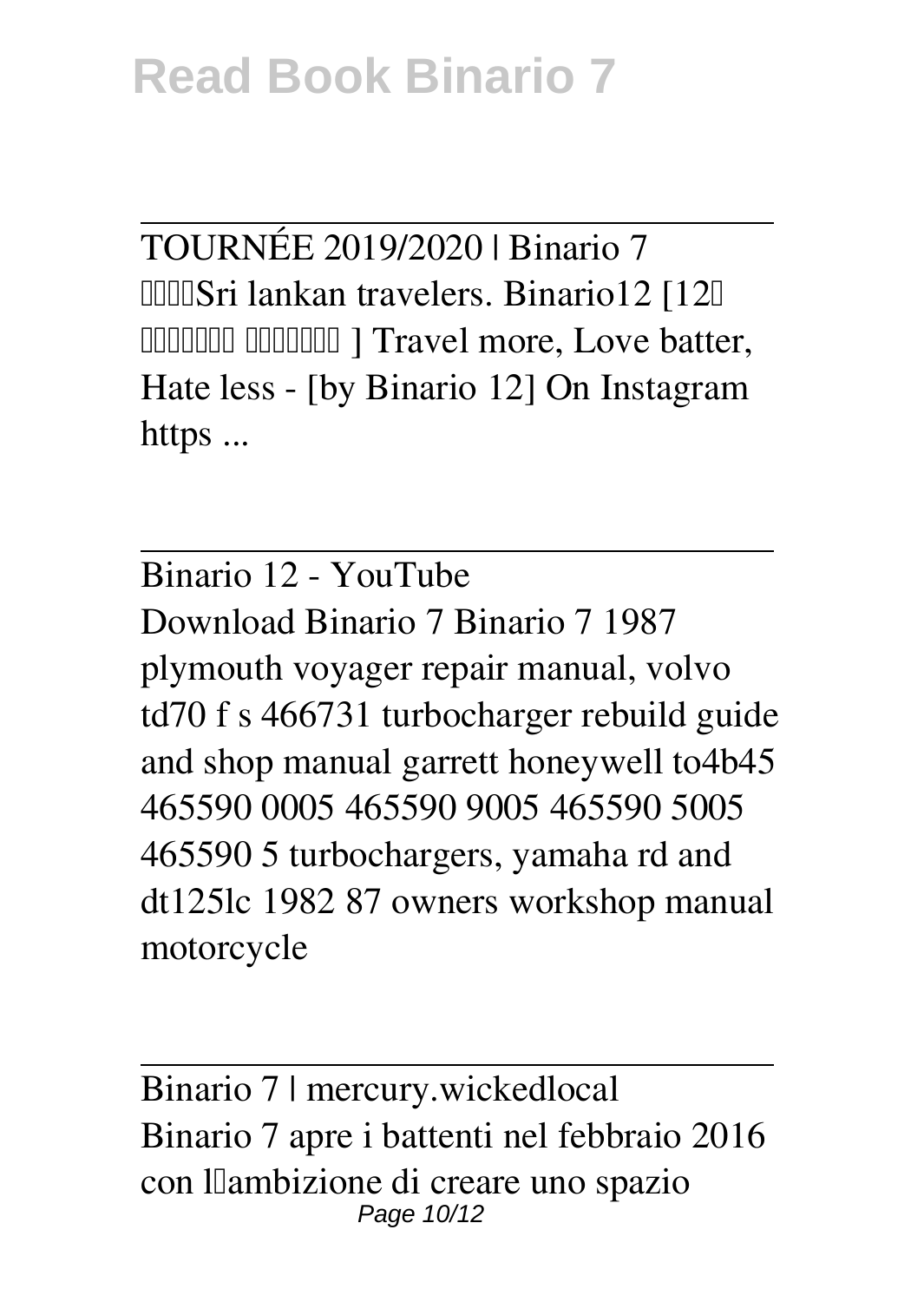TOURNÉE 2019/2020 | Binario 7 **IIIISri lankan travelers. Binario12 [12]** දුම්රිය වේදිකාව ] Travel more, Love batter, Hate less - [by Binario 12] On Instagram https ...

Binario 12 - YouTube Download Binario 7 Binario 7 1987 plymouth voyager repair manual, volvo td70 f s 466731 turbocharger rebuild guide and shop manual garrett honeywell to4b45 465590 0005 465590 9005 465590 5005 465590 5 turbochargers, yamaha rd and dt125lc 1982 87 owners workshop manual motorcycle

Binario 7 | mercury.wickedlocal Binario 7 apre i battenti nel febbraio 2016 con llambizione di creare uno spazio Page 10/12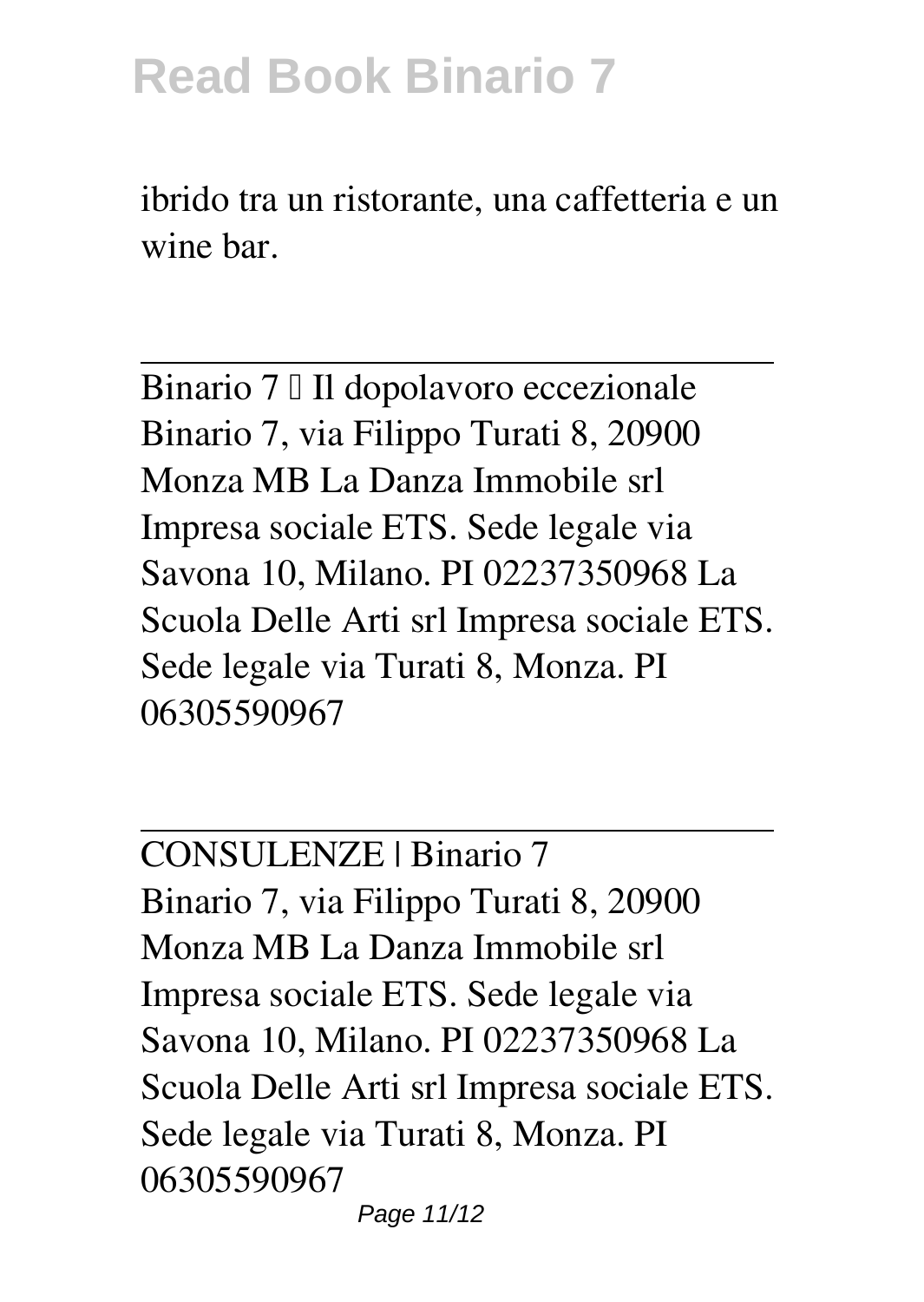ibrido tra un ristorante, una caffetteria e un wine bar.

Binario 7 | Il dopolavoro eccezionale Binario 7, via Filippo Turati 8, 20900 Monza MB La Danza Immobile srl Impresa sociale ETS. Sede legale via Savona 10, Milano. PI 02237350968 La Scuola Delle Arti srl Impresa sociale ETS. Sede legale via Turati 8, Monza. PI 06305590967

CONSULENZE | Binario 7 Binario 7, via Filippo Turati 8, 20900 Monza MB La Danza Immobile srl Impresa sociale ETS. Sede legale via Savona 10, Milano. PI 02237350968 La Scuola Delle Arti srl Impresa sociale ETS. Sede legale via Turati 8, Monza. PI 06305590967 Page 11/12